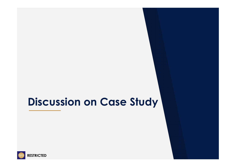# **Discussion on Case Study**

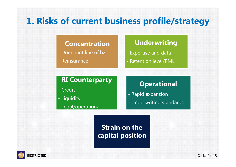# **1. Risks of current business profile/strategy**

#### **Concentration**

- Dominant line of bz
- Reinsurance

### **Underwriting**

- Expertise and data
- Retention level/PML

#### **RI Counterparty**

- Credit
- Liquidity
- Legal/operational

### **Operational**

- Rapid expansion
- Underwriting standards

### **Strain on the capital position**

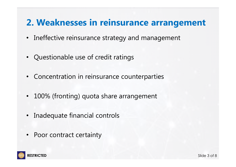### **2. Weaknesses in reinsurance arrangement**

- Ineffective reinsurance strategy and management
- Questionable use of credit ratings
- Concentration in reinsurance counterparties
- 100% (fronting) quota share arrangement
- Inadequate financial controls
- Poor contract certainty

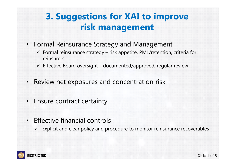# **3. Suggestions for XAI to improve risk management**

- Formal Reinsurance Strategy and Management
	- $\checkmark$  Formal reinsurance strategy risk appetite, PML/retention, criteria for reinsurers
	- $\checkmark$  Effective Board oversight documented/approved, regular review
- •Review net exposures and concentration risk
- •Ensure contract certainty
- Effective financial controls
	- $\checkmark$  Explicit and clear policy and procedure to monitor reinsurance recoverables